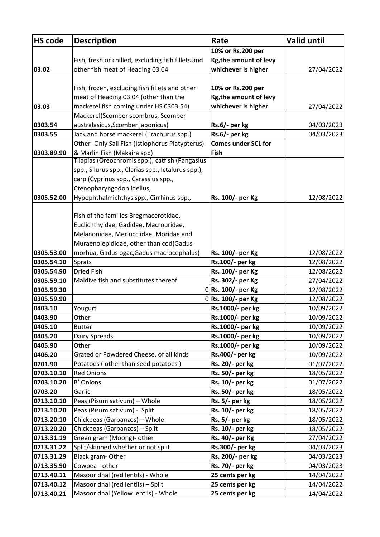| <b>HS code</b> | <b>Description</b>                                                             | Rate                       | <b>Valid until</b> |
|----------------|--------------------------------------------------------------------------------|----------------------------|--------------------|
|                |                                                                                | 10% or Rs.200 per          |                    |
|                | Fish, fresh or chilled, excluding fish fillets and                             | Kg, the amount of levy     |                    |
| 03.02          | other fish meat of Heading 03.04                                               | whichever is higher        | 27/04/2022         |
|                |                                                                                |                            |                    |
|                | Fish, frozen, excluding fish fillets and other                                 | 10% or Rs.200 per          |                    |
|                | meat of Heading 03.04 (other than the                                          | Kg, the amount of levy     |                    |
| 03.03          | mackerel fish coming under HS 0303.54)                                         | whichever is higher        | 27/04/2022         |
|                | Mackerel(Scomber scombrus, Scomber                                             |                            |                    |
| 0303.54        | australasicus, Scomber japonicus)                                              | Rs.6/- per kg              | 04/03/2023         |
| 0303.55        | Jack and horse mackerel (Trachurus spp.)                                       | Rs.6/- per kg              | 04/03/2023         |
|                | Other- Only Sail Fish (Istiophorus Platypterus)                                | <b>Comes under SCL for</b> |                    |
| 0303.89.90     | & Marlin Fish (Makaira spp)                                                    | Fish                       |                    |
|                | Tilapias (Oreochromis spp.), catfish (Pangasius                                |                            |                    |
|                | spp., Silurus spp., Clarias spp., Ictalurus spp.),                             |                            |                    |
|                | carp (Cyprinus spp., Carassius spp.,                                           |                            |                    |
|                | Ctenopharyngodon idellus,                                                      |                            |                    |
| 0305.52.00     | Hypophthalmichthys spp., Cirrhinus spp.,                                       | Rs. 100/- per Kg           | 12/08/2022         |
|                |                                                                                |                            |                    |
|                | Fish of the families Bregmacerotidae,<br>Euclichthyidae, Gadidae, Macrouridae, |                            |                    |
|                | Melanonidae, Merlucciidae, Moridae and                                         |                            |                    |
|                | Muraenolepididae, other than cod(Gadus                                         |                            |                    |
| 0305.53.00     | morhua, Gadus ogac, Gadus macrocephalus)                                       | Rs. 100/- per Kg           | 12/08/2022         |
| 0305.54.10     | Sprats                                                                         | Rs.100/- per kg            | 12/08/2022         |
| 0305.54.90     | <b>Dried Fish</b>                                                              | Rs. 100/- per Kg           | 12/08/2022         |
| 0305.59.10     | Maldive fish and substitutes thereof                                           | Rs. 302/- per Kg           | 27/04/2022         |
| 0305.59.30     |                                                                                | 0 Rs. 100/- per Kg         | 12/08/2022         |
| 0305.59.90     | 0                                                                              | Rs. 100/- per Kg           | 12/08/2022         |
| 0403.10        | Yougurt                                                                        | Rs.1000/- per kg           | 10/09/2022         |
| 0403.90        | Other                                                                          | Rs.1000/- per kg           | 10/09/2022         |
| 0405.10        | <b>Butter</b>                                                                  | Rs.1000/- per kg           | 10/09/2022         |
| 0405.20        | Dairy Spreads                                                                  | Rs.1000/- per kg           | 10/09/2022         |
| 0405.90        | Other                                                                          | Rs.1000/- per kg           | 10/09/2022         |
| 0406.20        | Grated or Powdered Cheese, of all kinds                                        | Rs.400/- per kg            | 10/09/2022         |
| 0701.90        | Potatoes (other than seed potatoes)                                            | Rs. 20/- per kg            | 01/07/2022         |
| 0703.10.10     | <b>Red Onions</b>                                                              | Rs. 50/- per kg            | 18/05/2022         |
| 0703.10.20     | B' Onions                                                                      | Rs. 10/- per kg            | 01/07/2022         |
| 0703.20        | Garlic                                                                         | Rs. 50/- per kg            | 18/05/2022         |
| 0713.10.10     | Peas (Pisum sativum) - Whole                                                   | Rs. 5/- per kg             | 18/05/2022         |
| 0713.10.20     | Peas (Pisum sativum) - Split                                                   | Rs. 10/- per kg            | 18/05/2022         |
| 0713.20.10     | Chickpeas (Garbanzos) - Whole                                                  | Rs. 5/- per kg             | 18/05/2022         |
| 0713.20.20     | Chickpeas (Garbanzos) - Split                                                  | Rs. 10/- per kg            | 18/05/2022         |
| 0713.31.19     | Green gram (Moong)- other                                                      | Rs. 40/- per Kg            | 27/04/2022         |
| 0713.31.22     | Split/skinned whether or not split                                             | Rs.300/- per kg            | 04/03/2023         |
| 0713.31.29     | Black gram-Other                                                               | Rs. 200/- per kg           | 04/03/2023         |
| 0713.35.90     | Cowpea - other                                                                 | Rs. 70/- per kg            | 04/03/2023         |
| 0713.40.11     | Masoor dhal (red lentils) - Whole                                              | 25 cents per kg            | 14/04/2022         |
| 0713.40.12     | Masoor dhal (red lentils) - Split                                              | 25 cents per kg            | 14/04/2022         |
| 0713.40.21     | Masoor dhal (Yellow lentils) - Whole                                           | 25 cents per kg            | 14/04/2022         |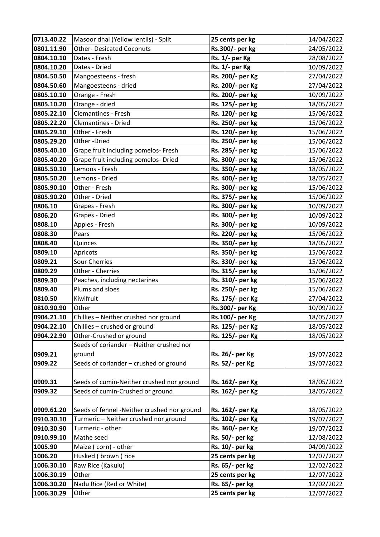| 0713.40.22 | Masoor dhal (Yellow lentils) - Split        | 25 cents per kg  | 14/04/2022 |
|------------|---------------------------------------------|------------------|------------|
| 0801.11.90 | <b>Other- Desicated Coconuts</b>            | Rs.300/- per kg  | 24/05/2022 |
| 0804.10.10 | Dates - Fresh                               | Rs. 1/- per Kg   | 28/08/2022 |
| 0804.10.20 | Dates - Dried                               | Rs. 1/- per Kg   | 10/09/2022 |
| 0804.50.50 | Mangoesteens - fresh                        | Rs. 200/- per Kg | 27/04/2022 |
| 0804.50.60 | Mangoesteens - dried                        | Rs. 200/- per Kg | 27/04/2022 |
| 0805.10.10 | Orange - Fresh                              | Rs. 200/- per kg | 10/09/2022 |
| 0805.10.20 | Orange - dried                              | Rs. 125/- per kg | 18/05/2022 |
| 0805.22.10 | Clemantines - Fresh                         | Rs. 120/- per kg | 15/06/2022 |
| 0805.22.20 | Clemantines - Dried                         | Rs. 250/- per kg | 15/06/2022 |
| 0805.29.10 | Other - Fresh                               | Rs. 120/- per kg | 15/06/2022 |
| 0805.29.20 | Other-Dried                                 | Rs. 250/- per kg | 15/06/2022 |
| 0805.40.10 | Grape fruit including pomelos- Fresh        | Rs. 285/- per kg | 15/06/2022 |
| 0805.40.20 | Grape fruit including pomelos- Dried        | Rs. 300/- per kg | 15/06/2022 |
| 0805.50.10 | Lemons - Fresh                              | Rs. 350/- per kg | 18/05/2022 |
| 0805.50.20 | Lemons - Dried                              | Rs. 400/- per kg | 18/05/2022 |
| 0805.90.10 | Other - Fresh                               | Rs. 300/- per kg | 15/06/2022 |
| 0805.90.20 | Other - Dried                               | Rs. 375/- per kg | 15/06/2022 |
| 0806.10    | Grapes - Fresh                              | Rs. 300/- per kg | 10/09/2022 |
| 0806.20    | Grapes - Dried                              | Rs. 300/- per kg | 10/09/2022 |
| 0808.10    | Apples - Fresh                              | Rs. 300/- per kg | 10/09/2022 |
| 0808.30    | Pears                                       | Rs. 220/- per kg | 15/06/2022 |
| 0808.40    | Quinces                                     | Rs. 350/- per kg | 18/05/2022 |
| 0809.10    | Apricots                                    | Rs. 350/- per kg | 15/06/2022 |
| 0809.21    | Sour Cherries                               | Rs. 330/- per kg | 15/06/2022 |
| 0809.29    | Other - Cherries                            | Rs. 315/- per kg | 15/06/2022 |
| 0809.30    | Peaches, including nectarines               | Rs. 310/- per kg | 15/06/2022 |
| 0809.40    | Plums and sloes                             | Rs. 250/- per kg | 15/06/2022 |
| 0810.50    | Kiwifruit                                   | Rs. 175/- per Kg | 27/04/2022 |
| 0810.90.90 | Other                                       | Rs.300/- per Kg  | 10/09/2022 |
| 0904.21.10 | Chillies - Neither crushed nor ground       | Rs.100/- per Kg  | 18/05/2022 |
| 0904.22.10 | Chillies - crushed or ground                | Rs. 125/- per Kg | 18/05/2022 |
| 0904.22.90 | Other-Crushed or ground                     | Rs. 125/- per Kg | 18/05/2022 |
|            | Seeds of coriander - Neither crushed nor    |                  |            |
| 0909.21    | ground                                      | Rs. 26/- per Kg  | 19/07/2022 |
| 0909.22    | Seeds of coriander - crushed or ground      | Rs. 52/- per Kg  | 19/07/2022 |
|            |                                             |                  |            |
| 0909.31    | Seeds of cumin-Neither crushed nor ground   | Rs. 162/- per Kg | 18/05/2022 |
| 0909.32    | Seeds of cumin-Crushed or ground            | Rs. 162/- per Kg | 18/05/2022 |
|            |                                             |                  |            |
| 0909.61.20 | Seeds of fennel -Neither crushed nor ground | Rs. 162/- per Kg | 18/05/2022 |
| 0910.30.10 | Turmeric - Neither crushed nor ground       | Rs. 102/- per Kg | 19/07/2022 |
| 0910.30.90 | Turmeric - other                            | Rs. 360/- per Kg | 19/07/2022 |
| 0910.99.10 | Mathe seed                                  | Rs. 50/- per kg  | 12/08/2022 |
| 1005.90    | Maize (corn) - other                        | Rs. 10/- per kg  | 04/09/2022 |
| 1006.20    | Husked (brown) rice                         | 25 cents per kg  | 12/07/2022 |
| 1006.30.10 | Raw Rice (Kakulu)                           | Rs. 65/- per kg  | 12/02/2022 |
| 1006.30.19 | Other                                       | 25 cents per kg  | 12/07/2022 |
| 1006.30.20 | Nadu Rice (Red or White)                    | Rs. 65/- per kg  | 12/02/2022 |
| 1006.30.29 | Other                                       | 25 cents per kg  | 12/07/2022 |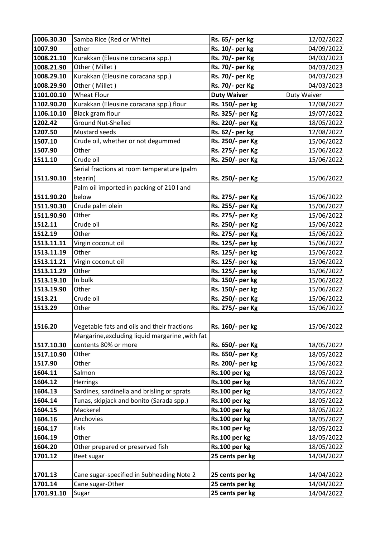| 1006.30.30 | Samba Rice (Red or White)                       | Rs. 65/- per kg    | 12/02/2022  |
|------------|-------------------------------------------------|--------------------|-------------|
| 1007.90    | other                                           | Rs. 10/- per kg    | 04/09/2022  |
| 1008.21.10 | Kurakkan (Eleusine coracana spp.)               | Rs. 70/- per Kg    | 04/03/2023  |
| 1008.21.90 | Other (Millet)                                  | Rs. 70/- per Kg    | 04/03/2023  |
| 1008.29.10 | Kurakkan (Eleusine coracana spp.)               | Rs. 70/- per Kg    | 04/03/2023  |
| 1008.29.90 | Other (Millet)                                  | Rs. 70/- per Kg    | 04/03/2023  |
| 1101.00.10 | <b>Wheat Flour</b>                              | <b>Duty Waiver</b> | Duty Waiver |
| 1102.90.20 | Kurakkan (Eleusine coracana spp.) flour         | Rs. 150/- per kg   | 12/08/2022  |
| 1106.10.10 | <b>Black gram flour</b>                         | Rs. 325/- per Kg   | 19/07/2022  |
| 1202.42    | <b>Ground Nut-Shelled</b>                       | Rs. 220/- per Kg   | 18/05/2022  |
| 1207.50    | Mustard seeds                                   | Rs. 62/- per kg    | 12/08/2022  |
| 1507.10    | Crude oil, whether or not degummed              | Rs. 250/- per Kg   | 15/06/2022  |
| 1507.90    | Other                                           | Rs. 275/- per Kg   | 15/06/2022  |
| 1511.10    | Crude oil                                       | Rs. 250/- per Kg   | 15/06/2022  |
|            | Serial fractions at room temperature (palm      |                    |             |
| 1511.90.10 | stearin)                                        | Rs. 250/- per Kg   | 15/06/2022  |
|            | Palm oil imported in packing of 210 l and       |                    |             |
| 1511.90.20 | below                                           | Rs. 275/- per Kg   | 15/06/2022  |
| 1511.90.30 | Crude palm olein                                | Rs. 255/- per Kg   | 15/06/2022  |
| 1511.90.90 | Other                                           | Rs. 275/- per Kg   | 15/06/2022  |
| 1512.11    | Crude oil                                       | Rs. 250/- per Kg   | 15/06/2022  |
| 1512.19    | Other                                           | Rs. 275/- per Kg   | 15/06/2022  |
| 1513.11.11 | Virgin coconut oil                              | Rs. 125/- per kg   | 15/06/2022  |
| 1513.11.19 | Other                                           | Rs. 125/- per kg   | 15/06/2022  |
| 1513.11.21 | Virgin coconut oil                              | Rs. 125/- per kg   | 15/06/2022  |
| 1513.11.29 | Other                                           | Rs. 125/- per kg   | 15/06/2022  |
| 1513.19.10 | In bulk                                         | Rs. 150/- per kg   | 15/06/2022  |
| 1513.19.90 | Other                                           | Rs. 150/- per kg   | 15/06/2022  |
| 1513.21    | Crude oil                                       | Rs. 250/- per Kg   | 15/06/2022  |
| 1513.29    | Other                                           | Rs. 275/- per Kg   | 15/06/2022  |
|            |                                                 |                    |             |
| 1516.20    | Vegetable fats and oils and their fractions     | Rs. 160/- per kg   | 15/06/2022  |
|            | Margarine, excluding liquid margarine, with fat |                    |             |
| 1517.10.30 | contents 80% or more                            | Rs. 650/- per Kg   | 18/05/2022  |
| 1517.10.90 | Other                                           | Rs. 650/- per Kg   | 18/05/2022  |
| 1517.90    | Other                                           | Rs. 200/- per kg   | 15/06/2022  |
| 1604.11    | Salmon                                          | Rs.100 per kg      | 18/05/2022  |
| 1604.12    | <b>Herrings</b>                                 | Rs.100 per kg      | 18/05/2022  |
| 1604.13    | Sardines, sardinella and brisling or sprats     | Rs.100 per kg      | 18/05/2022  |
| 1604.14    | Tunas, skipjack and bonito (Sarada spp.)        | Rs.100 per kg      | 18/05/2022  |
| 1604.15    | Mackerel                                        | Rs.100 per kg      | 18/05/2022  |
| 1604.16    | Anchovies                                       | Rs.100 per kg      | 18/05/2022  |
| 1604.17    | Eals                                            | Rs.100 per kg      | 18/05/2022  |
| 1604.19    | Other                                           | Rs.100 per kg      | 18/05/2022  |
| 1604.20    | Other prepared or preserved fish                | Rs.100 per kg      | 18/05/2022  |
| 1701.12    | Beet sugar                                      | 25 cents per kg    | 14/04/2022  |
|            |                                                 |                    |             |
| 1701.13    | Cane sugar-specified in Subheading Note 2       | 25 cents per kg    | 14/04/2022  |
| 1701.14    | Cane sugar-Other                                | 25 cents per kg    | 14/04/2022  |
| 1701.91.10 | Sugar                                           | 25 cents per kg    | 14/04/2022  |